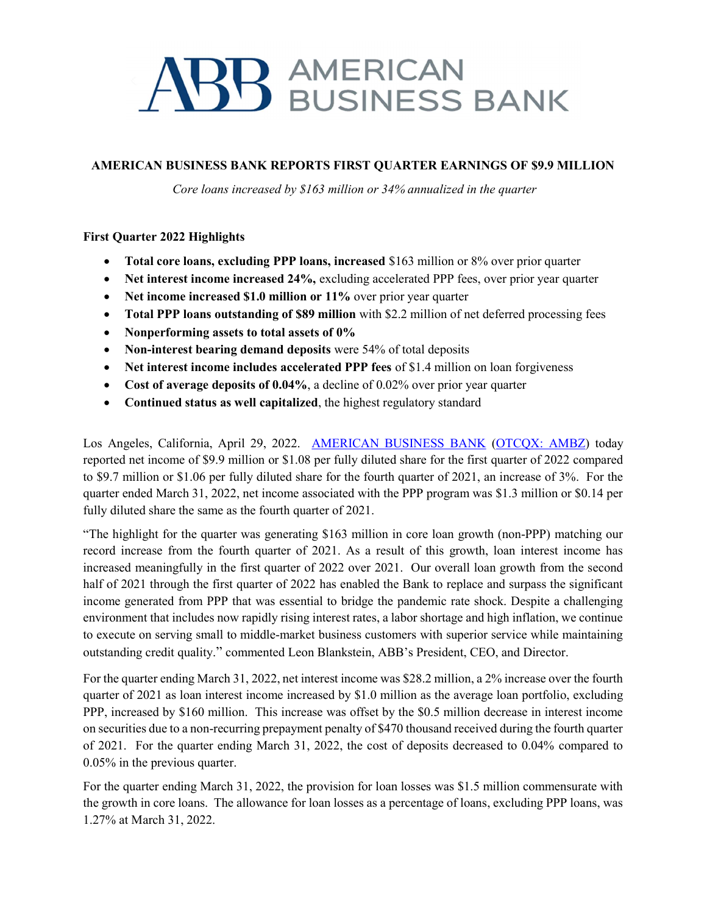# **BB** AMERICAN<br>BUSINESS BANK

## AMERICAN BUSINESS BANK REPORTS FIRST QUARTER EARNINGS OF \$9.9 MILLION

Core loans increased by \$163 million or 34% annualized in the quarter

## First Quarter 2022 Highlights

- Total core loans, excluding PPP loans, increased \$163 million or 8% over prior quarter
- Net interest income increased 24%, excluding accelerated PPP fees, over prior year quarter
- Net income increased \$1.0 million or 11% over prior year quarter
- Total PPP loans outstanding of \$89 million with \$2.2 million of net deferred processing fees
- Nonperforming assets to total assets of 0%
- Non-interest bearing demand deposits were 54% of total deposits
- Net interest income includes accelerated PPP fees of \$1.4 million on loan forgiveness
- Cost of average deposits of 0.04%, a decline of 0.02% over prior year quarter
- Continued status as well capitalized, the highest regulatory standard

Los Angeles, California, April 29, 2022. AMERICAN BUSINESS BANK (OTCQX: AMBZ) today reported net income of \$9.9 million or \$1.08 per fully diluted share for the first quarter of 2022 compared to \$9.7 million or \$1.06 per fully diluted share for the fourth quarter of 2021, an increase of 3%. For the quarter ended March 31, 2022, net income associated with the PPP program was \$1.3 million or \$0.14 per fully diluted share the same as the fourth quarter of 2021.

"The highlight for the quarter was generating \$163 million in core loan growth (non-PPP) matching our record increase from the fourth quarter of 2021. As a result of this growth, loan interest income has increased meaningfully in the first quarter of 2022 over 2021. Our overall loan growth from the second half of 2021 through the first quarter of 2022 has enabled the Bank to replace and surpass the significant income generated from PPP that was essential to bridge the pandemic rate shock. Despite a challenging environment that includes now rapidly rising interest rates, a labor shortage and high inflation, we continue to execute on serving small to middle-market business customers with superior service while maintaining outstanding credit quality." commented Leon Blankstein, ABB's President, CEO, and Director.

For the quarter ending March 31, 2022, net interest income was \$28.2 million, a 2% increase over the fourth quarter of 2021 as loan interest income increased by \$1.0 million as the average loan portfolio, excluding PPP, increased by \$160 million. This increase was offset by the \$0.5 million decrease in interest income on securities due to a non-recurring prepayment penalty of \$470 thousand received during the fourth quarter of 2021. For the quarter ending March 31, 2022, the cost of deposits decreased to 0.04% compared to 0.05% in the previous quarter.

For the quarter ending March 31, 2022, the provision for loan losses was \$1.5 million commensurate with the growth in core loans. The allowance for loan losses as a percentage of loans, excluding PPP loans, was 1.27% at March 31, 2022.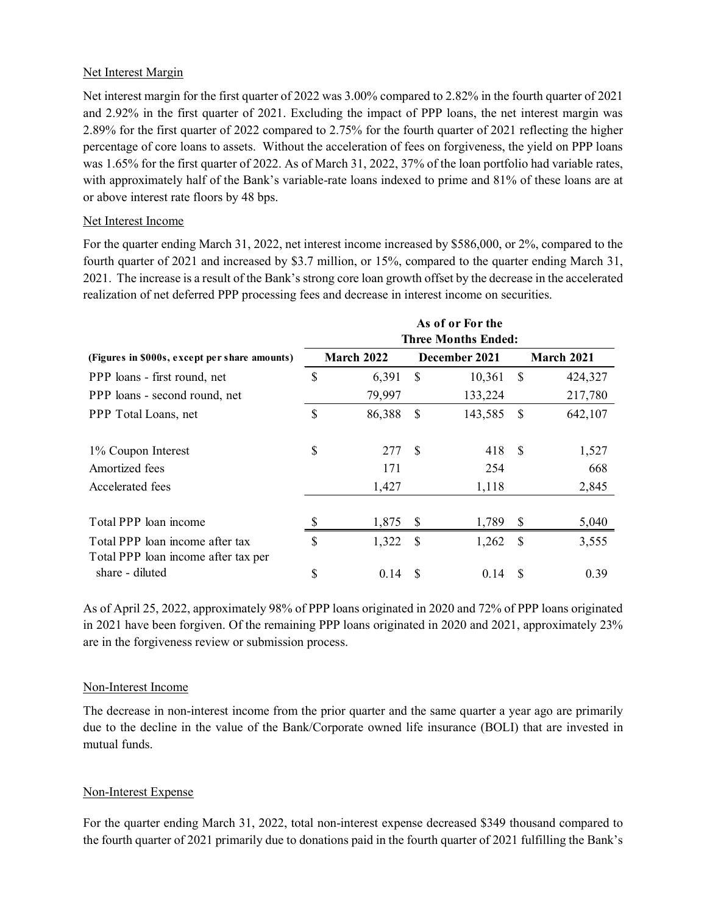#### Net Interest Margin

Net interest margin for the first quarter of 2022 was 3.00% compared to 2.82% in the fourth quarter of 2021 and 2.92% in the first quarter of 2021. Excluding the impact of PPP loans, the net interest margin was 2.89% for the first quarter of 2022 compared to 2.75% for the fourth quarter of 2021 reflecting the higher percentage of core loans to assets. Without the acceleration of fees on forgiveness, the yield on PPP loans was 1.65% for the first quarter of 2022. As of March 31, 2022, 37% of the loan portfolio had variable rates, with approximately half of the Bank's variable-rate loans indexed to prime and 81% of these loans are at or above interest rate floors by 48 bps. was 3.00% compared to 2.82% in the fourth quarter of 2021<br>ling the impact of PPP loans, the net interest margin was<br>2.75% for the fourth quarter of 2021 reflecting the higher<br>acceleration of fees on forgiveness, the yield

#### Net Interest Income

| and 2.92% in the first quarter of 2021. Excluding the impact of PPP loans, the net interest margin was<br>2.89% for the first quarter of 2022 compared to 2.75% for the fourth quarter of 2021 reflecting the higher<br>percentage of core loans to assets. Without the acceleration of fees on forgiveness, the yield on PPP loans |              |                   |               |                                                |               |                   |
|-------------------------------------------------------------------------------------------------------------------------------------------------------------------------------------------------------------------------------------------------------------------------------------------------------------------------------------|--------------|-------------------|---------------|------------------------------------------------|---------------|-------------------|
| was 1.65% for the first quarter of 2022. As of March 31, 2022, 37% of the loan portfolio had variable rates,<br>with approximately half of the Bank's variable-rate loans indexed to prime and 81% of these loans are at<br>or above interest rate floors by 48 bps.                                                                |              |                   |               |                                                |               |                   |
| Net Interest Income                                                                                                                                                                                                                                                                                                                 |              |                   |               |                                                |               |                   |
| fourth quarter of 2021 and increased by \$3.7 million, or 15%, compared to the quarter ending March 31,<br>2021. The increase is a result of the Bank's strong core loan growth offset by the decrease in the accelerated<br>realization of net deferred PPP processing fees and decrease in interest income on securities.         |              |                   |               |                                                |               |                   |
|                                                                                                                                                                                                                                                                                                                                     |              |                   |               | As of or For the<br><b>Three Months Ended:</b> |               |                   |
| (Figures in \$000s, except per share amounts)                                                                                                                                                                                                                                                                                       |              | <b>March 2022</b> |               | December 2021                                  |               | <b>March 2021</b> |
| PPP loans - first round, net                                                                                                                                                                                                                                                                                                        | \$           | 6,391             | \$            | 10,361                                         | $\mathcal{S}$ | 424,327           |
| PPP loans - second round, net                                                                                                                                                                                                                                                                                                       |              | 79,997            |               | 133,224                                        |               | 217,780           |
| PPP Total Loans, net                                                                                                                                                                                                                                                                                                                | \$           | 86,388            | \$            | 143,585                                        | $\mathcal{S}$ | 642,107           |
|                                                                                                                                                                                                                                                                                                                                     | \$           | 277               | <sup>\$</sup> | 418                                            | $\mathcal{S}$ | 1,527             |
| 1% Coupon Interest                                                                                                                                                                                                                                                                                                                  |              | 171               |               | 254                                            |               | 668               |
| Amortized fees                                                                                                                                                                                                                                                                                                                      |              |                   |               | 1,118                                          |               | 2,845             |
| Accelerated fees                                                                                                                                                                                                                                                                                                                    |              | 1,427             |               |                                                |               |                   |
| Total PPP loan income                                                                                                                                                                                                                                                                                                               | \$           | 1,875             | \$            | 1,789                                          | <sup>S</sup>  | 5,040             |
| Total PPP loan income after tax<br>Total PPP loan income after tax per                                                                                                                                                                                                                                                              | $\mathbb{S}$ | 1,322             | $\mathcal{S}$ | 1,262                                          | $\mathcal{S}$ | 3,555             |

As of April 25, 2022, approximately 98% of PPP loans originated in 2020 and 72% of PPP loans originated in 2021 have been forgiven. Of the remaining PPP loans originated in 2020 and 2021, approximately 23% are in the forgiveness review or submission process.

#### Non-Interest Income

The decrease in non-interest income from the prior quarter and the same quarter a year ago are primarily due to the decline in the value of the Bank/Corporate owned life insurance (BOLI) that are invested in mutual funds.

## Non-Interest Expense

For the quarter ending March 31, 2022, total non-interest expense decreased \$349 thousand compared to the fourth quarter of 2021 primarily due to donations paid in the fourth quarter of 2021 fulfilling the Bank's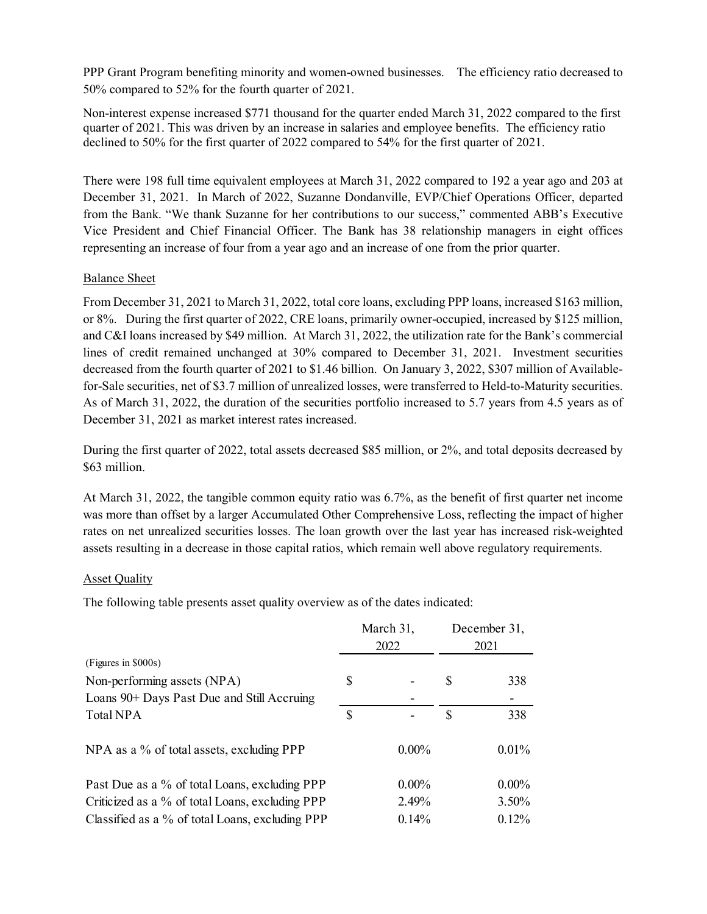PPP Grant Program benefiting minority and women-owned businesses. The efficiency ratio decreased to 50% compared to 52% for the fourth quarter of 2021.

Non-interest expense increased \$771 thousand for the quarter ended March 31, 2022 compared to the first quarter of 2021. This was driven by an increase in salaries and employee benefits. The efficiency ratio declined to 50% for the first quarter of 2022 compared to 54% for the first quarter of 2021.

There were 198 full time equivalent employees at March 31, 2022 compared to 192 a year ago and 203 at December 31, 2021. In March of 2022, Suzanne Dondanville, EVP/Chief Operations Officer, departed from the Bank. "We thank Suzanne for her contributions to our success," commented ABB's Executive Vice President and Chief Financial Officer. The Bank has 38 relationship managers in eight offices representing an increase of four from a year ago and an increase of one from the prior quarter.

#### Balance Sheet

From December 31, 2021 to March 31, 2022, total core loans, excluding PPP loans, increased \$163 million, or 8%. During the first quarter of 2022, CRE loans, primarily owner-occupied, increased by \$125 million, and C&I loans increased by \$49 million. At March 31, 2022, the utilization rate for the Bank's commercial lines of credit remained unchanged at 30% compared to December 31, 2021. Investment securities decreased from the fourth quarter of 2021 to \$1.46 billion. On January 3, 2022, \$307 million of Availablefor-Sale securities, net of \$3.7 million of unrealized losses, were transferred to Held-to-Maturity securities. As of March 31, 2022, the duration of the securities portfolio increased to 5.7 years from 4.5 years as of December 31, 2021 as market interest rates increased.

#### Asset Quality

| for-Sale securities, net of \$3.7 million of unrealized losses, were transferred to Held-to-Maturity securities.<br>As of March 31, 2022, the duration of the securities portfolio increased to 5.7 years from 4.5 years as of<br>December 31, 2021 as market interest rates increased.                                                                                                                                                     |              |           |              |  |
|---------------------------------------------------------------------------------------------------------------------------------------------------------------------------------------------------------------------------------------------------------------------------------------------------------------------------------------------------------------------------------------------------------------------------------------------|--------------|-----------|--------------|--|
| During the first quarter of 2022, total assets decreased \$85 million, or 2%, and total deposits decreased by<br>\$63 million.                                                                                                                                                                                                                                                                                                              |              |           |              |  |
| At March 31, 2022, the tangible common equity ratio was 6.7%, as the benefit of first quarter net income<br>was more than offset by a larger Accumulated Other Comprehensive Loss, reflecting the impact of higher<br>rates on net unrealized securities losses. The loan growth over the last year has increased risk-weighted<br>assets resulting in a decrease in those capital ratios, which remain well above regulatory requirements. |              |           |              |  |
| <b>Asset Quality</b>                                                                                                                                                                                                                                                                                                                                                                                                                        |              |           |              |  |
| The following table presents asset quality overview as of the dates indicated:                                                                                                                                                                                                                                                                                                                                                              |              |           |              |  |
|                                                                                                                                                                                                                                                                                                                                                                                                                                             |              | March 31, | December 31, |  |
| (Figures in \$000s)                                                                                                                                                                                                                                                                                                                                                                                                                         |              | 2022      | 2021         |  |
| Non-performing assets (NPA)                                                                                                                                                                                                                                                                                                                                                                                                                 | \$           |           | \$<br>338    |  |
| Loans 90+ Days Past Due and Still Accruing                                                                                                                                                                                                                                                                                                                                                                                                  |              |           |              |  |
| Total NPA                                                                                                                                                                                                                                                                                                                                                                                                                                   | $\mathbb{S}$ |           | \$<br>338    |  |
| NPA as a % of total assets, excluding PPP                                                                                                                                                                                                                                                                                                                                                                                                   |              | $0.00\%$  | 0.01%        |  |
| Past Due as a % of total Loans, excluding PPP                                                                                                                                                                                                                                                                                                                                                                                               |              | $0.00\%$  | $0.00\%$     |  |
| Criticized as a % of total Loans, excluding PPP                                                                                                                                                                                                                                                                                                                                                                                             |              | 2.49%     | 3.50%        |  |
| Classified as a % of total Loans, excluding PPP                                                                                                                                                                                                                                                                                                                                                                                             |              | 0.14%     | 0.12%        |  |
|                                                                                                                                                                                                                                                                                                                                                                                                                                             |              |           |              |  |
|                                                                                                                                                                                                                                                                                                                                                                                                                                             |              |           |              |  |
|                                                                                                                                                                                                                                                                                                                                                                                                                                             |              |           |              |  |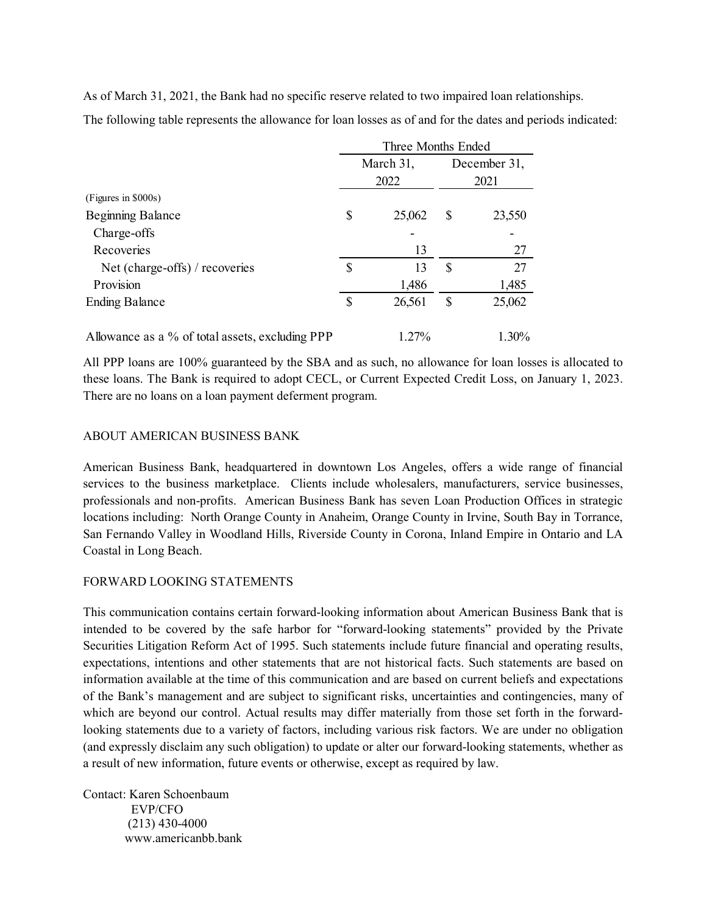| As of March 31, 2021, the Bank had no specific reserve related to two impaired loan relationships.          |              |                    |              |              |  |
|-------------------------------------------------------------------------------------------------------------|--------------|--------------------|--------------|--------------|--|
|                                                                                                             |              |                    |              |              |  |
|                                                                                                             |              |                    |              |              |  |
|                                                                                                             |              |                    |              |              |  |
|                                                                                                             |              |                    |              |              |  |
|                                                                                                             |              |                    |              |              |  |
| The following table represents the allowance for loan losses as of and for the dates and periods indicated: |              |                    |              |              |  |
|                                                                                                             |              | Three Months Ended |              |              |  |
|                                                                                                             |              | March 31,          |              | December 31, |  |
|                                                                                                             |              | 2022               |              | 2021         |  |
|                                                                                                             |              |                    |              |              |  |
|                                                                                                             |              | 25,062             | \$           | 23,550       |  |
| (Figures in \$000s)<br><b>Beginning Balance</b>                                                             | \$           |                    |              |              |  |
| Charge-offs                                                                                                 |              |                    |              |              |  |
| Recoveries                                                                                                  |              | 13                 |              | 27           |  |
| Net (charge-offs) / recoveries                                                                              | $\mathbb{S}$ | 13                 | $\mathbb{S}$ | 27           |  |
| Provision                                                                                                   |              | 1,486              |              | 1,485        |  |
| <b>Ending Balance</b>                                                                                       | $\mathbb{S}$ | 26,561             | \$           | 25,062       |  |

All PPP loans are 100% guaranteed by the SBA and as such, no allowance for loan losses is allocated to these loans. The Bank is required to adopt CECL, or Current Expected Credit Loss, on January 1, 2023. There are no loans on a loan payment deferment program.

#### ABOUT AMERICAN BUSINESS BANK

American Business Bank, headquartered in downtown Los Angeles, offers a wide range of financial services to the business marketplace. Clients include wholesalers, manufacturers, service businesses, professionals and non-profits. American Business Bank has seven Loan Production Offices in strategic locations including: North Orange County in Anaheim, Orange County in Irvine, South Bay in Torrance, San Fernando Valley in Woodland Hills, Riverside County in Corona, Inland Empire in Ontario and LA Coastal in Long Beach.

## FORWARD LOOKING STATEMENTS

This communication contains certain forward-looking information about American Business Bank that is intended to be covered by the safe harbor for "forward-looking statements" provided by the Private Securities Litigation Reform Act of 1995. Such statements include future financial and operating results, expectations, intentions and other statements that are not historical facts. Such statements are based on information available at the time of this communication and are based on current beliefs and expectations of the Bank's management and are subject to significant risks, uncertainties and contingencies, many of which are beyond our control. Actual results may differ materially from those set forth in the forwardlooking statements due to a variety of factors, including various risk factors. We are under no obligation (and expressly disclaim any such obligation) to update or alter our forward-looking statements, whether as a result of new information, future events or otherwise, except as required by law.

Contact: Karen Schoenbaum EVP/CFO (213) 430-4000 www.americanbb.bank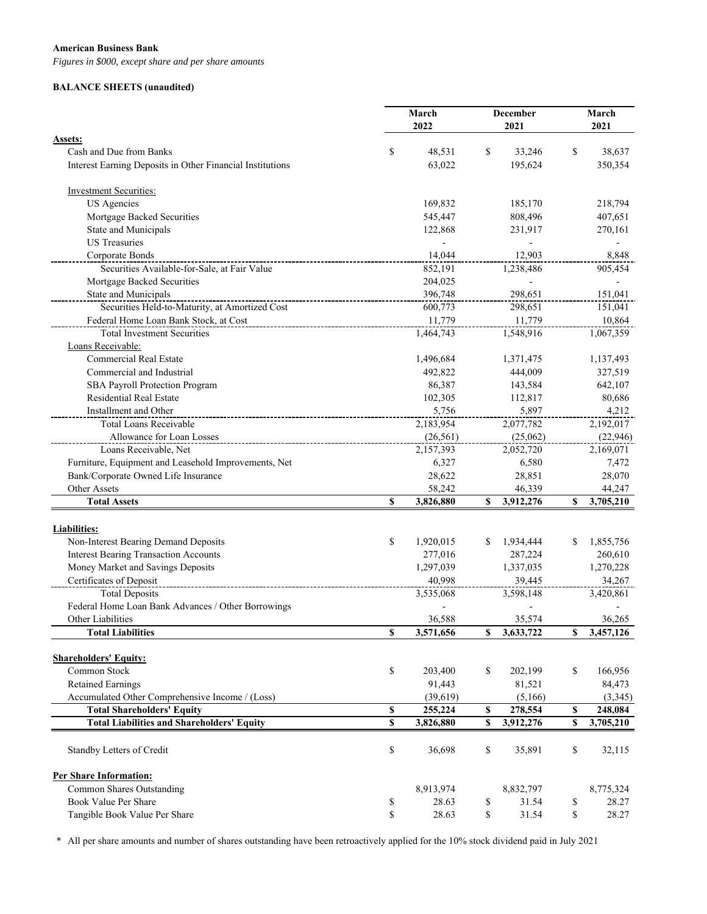#### **American Business Bank**

*Figures in \$000, except share and per share amounts*

#### **BALANCE SHEETS (unaudited)**

|                                                           | March |           |    | <b>December</b> |    | March     |  |
|-----------------------------------------------------------|-------|-----------|----|-----------------|----|-----------|--|
|                                                           |       | 2022      |    | 2021            |    | 2021      |  |
| Assets:                                                   |       |           |    |                 |    |           |  |
| Cash and Due from Banks                                   | \$    | 48,531    | \$ | 33,246          | \$ | 38,637    |  |
| Interest Earning Deposits in Other Financial Institutions |       | 63,022    |    | 195,624         |    | 350,354   |  |
| <b>Investment Securities:</b>                             |       |           |    |                 |    |           |  |
| <b>US</b> Agencies                                        |       | 169,832   |    | 185,170         |    | 218,794   |  |
| Mortgage Backed Securities                                |       | 545,447   |    | 808,496         |    | 407,651   |  |
| State and Municipals                                      |       | 122,868   |    | 231,917         |    | 270,161   |  |
| <b>US</b> Treasuries                                      |       |           |    |                 |    |           |  |
| Corporate Bonds                                           |       | 14,044    |    | 12,903          |    | 8,848     |  |
| Securities Available-for-Sale, at Fair Value              |       | 852,191   |    | 1,238,486       |    | 905,454   |  |
| Mortgage Backed Securities                                |       | 204,025   |    |                 |    |           |  |
| State and Municipals                                      |       | 396,748   |    | 298,651         |    | 151,041   |  |
| Securities Held-to-Maturity, at Amortized Cost            |       | 600,773   |    | 298,651         |    | 151,041   |  |
| Federal Home Loan Bank Stock, at Cost                     |       | 11,779    |    | 11,779          |    | 10,864    |  |
| <b>Total Investment Securities</b>                        |       | 1,464,743 |    | 1,548,916       |    | 1,067,359 |  |
| Loans Receivable:                                         |       |           |    |                 |    |           |  |
| <b>Commercial Real Estate</b>                             |       | 1,496,684 |    | 1,371,475       |    | 1,137,493 |  |
| Commercial and Industrial                                 |       | 492,822   |    | 444,009         |    | 327,519   |  |
| SBA Payroll Protection Program                            |       | 86,387    |    | 143,584         |    | 642,107   |  |
| <b>Residential Real Estate</b>                            |       | 102,305   |    | 112,817         |    | 80,686    |  |
| Installment and Other                                     |       | 5,756     |    | 5,897           |    | 4,212     |  |
| Total Loans Receivable                                    |       | 2,183,954 |    | 2,077,782       |    | 2,192,017 |  |
| Allowance for Loan Losses                                 |       | (26, 561) |    | (25,062)        |    | (22, 946) |  |
| Loans Receivable, Net                                     |       | 2,157,393 |    | 2,052,720       |    | 2,169,071 |  |
| Furniture, Equipment and Leasehold Improvements, Net      |       | 6,327     |    | 6,580           |    | 7,472     |  |
| Bank/Corporate Owned Life Insurance                       |       | 28,622    |    | 28,851          |    | 28,070    |  |
| Other Assets                                              |       | 58,242    |    | 46,339          |    | 44,247    |  |
| <b>Total Assets</b>                                       | \$    | 3,826,880 | S  | 3,912,276       | \$ | 3,705,210 |  |
|                                                           |       |           |    |                 |    |           |  |
| Liabilities:                                              |       |           |    |                 |    |           |  |
| Non-Interest Bearing Demand Deposits                      | \$    | 1,920,015 |    | 1,934,444       | S  | 1,855,756 |  |
| <b>Interest Bearing Transaction Accounts</b>              |       | 277,016   |    | 287,224         |    | 260,610   |  |
| Money Market and Savings Deposits                         |       | 1,297,039 |    | 1,337,035       |    | 1,270,228 |  |
| Certificates of Deposit                                   |       | 40,998    |    | 39,445          |    | 34,267    |  |
| <b>Total Deposits</b>                                     |       | 3,535,068 |    | 3,598,148       |    | 3,420,861 |  |
| Federal Home Loan Bank Advances / Other Borrowings        |       |           |    |                 |    |           |  |
| Other Liabilities                                         |       | 36,588    |    | 35,574          |    | 36,265    |  |
| <b>Total Liabilities</b>                                  | \$    | 3,571,656 | \$ | 3,633,722       | \$ | 3,457,126 |  |
| <b>Shareholders' Equity:</b>                              |       |           |    |                 |    |           |  |
| Common Stock                                              | \$    | 203,400   | \$ | 202,199         | \$ | 166,956   |  |
| <b>Retained Earnings</b>                                  |       | 91,443    |    | 81,521          |    | 84,473    |  |
| Accumulated Other Comprehensive Income / (Loss)           |       | (39,619)  |    | (5,166)         |    | (3,345)   |  |
| <b>Total Shareholders' Equity</b>                         | \$    | 255,224   | \$ | 278,554         | \$ | 248,084   |  |
| <b>Total Liabilities and Shareholders' Equity</b>         | \$    | 3,826,880 | \$ | 3,912,276       | \$ | 3,705,210 |  |
| Standby Letters of Credit                                 | \$    | 36,698    | \$ | 35,891          | \$ | 32,115    |  |
| <b>Per Share Information:</b>                             |       |           |    |                 |    |           |  |
| Common Shares Outstanding                                 |       | 8,913,974 |    | 8,832,797       |    | 8,775,324 |  |
| Book Value Per Share                                      | \$    | 28.63     | \$ | 31.54           | \$ | 28.27     |  |
| Tangible Book Value Per Share                             | \$    | 28.63     | \$ | 31.54           | \$ | 28.27     |  |

\* All per share amounts and number of shares outstanding have been retroactively applied for the 10% stock dividend paid in July 2021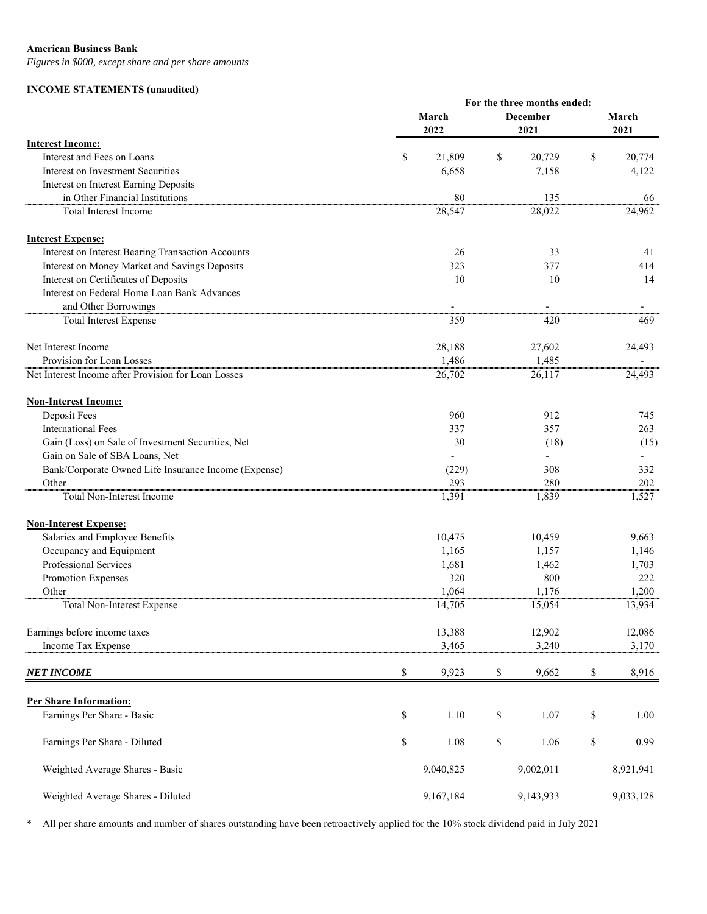#### **American Business Bank**

*Figures in \$000, except share and per share amounts*

#### **INCOME STATEMENTS (unaudited)**

|                                                      | For the three months ended: |    |                 |       |                          |  |  |  |
|------------------------------------------------------|-----------------------------|----|-----------------|-------|--------------------------|--|--|--|
|                                                      | March                       |    | <b>December</b> | March |                          |  |  |  |
|                                                      | 2022                        |    | 2021            |       | 2021                     |  |  |  |
| <b>Interest Income:</b>                              |                             |    |                 |       |                          |  |  |  |
| Interest and Fees on Loans                           | \$<br>21,809                | \$ | 20,729          | \$    | 20,774                   |  |  |  |
| Interest on Investment Securities                    | 6,658                       |    | 7,158           |       | 4,122                    |  |  |  |
| Interest on Interest Earning Deposits                |                             |    |                 |       |                          |  |  |  |
| in Other Financial Institutions                      | 80                          |    | 135             |       | 66                       |  |  |  |
| <b>Total Interest Income</b>                         | 28,547                      |    | 28,022          |       | 24,962                   |  |  |  |
| <b>Interest Expense:</b>                             |                             |    |                 |       |                          |  |  |  |
| Interest on Interest Bearing Transaction Accounts    | 26                          |    | 33              |       | 41                       |  |  |  |
| Interest on Money Market and Savings Deposits        | 323                         |    | 377             |       | 414                      |  |  |  |
| Interest on Certificates of Deposits                 | 10                          |    | 10              |       | 14                       |  |  |  |
| Interest on Federal Home Loan Bank Advances          |                             |    |                 |       |                          |  |  |  |
| and Other Borrowings                                 | $\overline{\phantom{a}}$    |    | $\blacksquare$  |       |                          |  |  |  |
| <b>Total Interest Expense</b>                        | 359                         |    | 420             |       | 469                      |  |  |  |
| Net Interest Income                                  | 28,188                      |    | 27,602          |       | 24,493                   |  |  |  |
| Provision for Loan Losses                            | 1,486                       |    | 1,485           |       | $\overline{\phantom{a}}$ |  |  |  |
| Net Interest Income after Provision for Loan Losses  | 26,702                      |    | 26,117          |       | 24,493                   |  |  |  |
| <b>Non-Interest Income:</b>                          |                             |    |                 |       |                          |  |  |  |
| Deposit Fees                                         | 960                         |    | 912             |       | 745                      |  |  |  |
| <b>International Fees</b>                            | 337                         |    | 357             |       | 263                      |  |  |  |
| Gain (Loss) on Sale of Investment Securities, Net    | 30                          |    | (18)            |       | (15)                     |  |  |  |
| Gain on Sale of SBA Loans, Net                       |                             |    |                 |       |                          |  |  |  |
| Bank/Corporate Owned Life Insurance Income (Expense) | (229)                       |    | 308             |       | 332                      |  |  |  |
| Other                                                | 293                         |    | 280             |       | 202                      |  |  |  |
| Total Non-Interest Income                            | 1,391                       |    | 1,839           |       | 1,527                    |  |  |  |
| <b>Non-Interest Expense:</b>                         |                             |    |                 |       |                          |  |  |  |
| Salaries and Employee Benefits                       | 10,475                      |    | 10,459          |       | 9,663                    |  |  |  |
| Occupancy and Equipment                              | 1,165                       |    | 1,157           |       | 1,146                    |  |  |  |
| Professional Services                                | 1,681                       |    | 1,462           |       | 1,703                    |  |  |  |
| Promotion Expenses                                   | 320                         |    | 800             |       | 222                      |  |  |  |
| Other                                                | 1,064                       |    | 1,176           |       | 1,200                    |  |  |  |
| Total Non-Interest Expense                           | 14,705                      |    | 15,054          |       | 13,934                   |  |  |  |
|                                                      |                             |    |                 |       |                          |  |  |  |
| Earnings before income taxes                         | 13,388                      |    | 12,902          |       | 12,086                   |  |  |  |
| Income Tax Expense                                   | 3,465                       |    | 3,240           |       | 3,170                    |  |  |  |
| <b>NET INCOME</b>                                    | \$<br>9,923                 | \$ | 9,662           | \$    | 8,916                    |  |  |  |
|                                                      |                             |    |                 |       |                          |  |  |  |
| <b>Per Share Information:</b>                        |                             |    |                 |       |                          |  |  |  |
| Earnings Per Share - Basic                           | \$<br>1.10                  | \$ | 1.07            | \$    | 1.00                     |  |  |  |
| Earnings Per Share - Diluted                         | \$<br>1.08                  | \$ | 1.06            | \$    | 0.99                     |  |  |  |
| Weighted Average Shares - Basic                      | 9,040,825                   |    | 9,002,011       |       | 8,921,941                |  |  |  |
| Weighted Average Shares - Diluted                    | 9,167,184                   |    | 9,143,933       |       | 9,033,128                |  |  |  |

\* All per share amounts and number of shares outstanding have been retroactively applied for the 10% stock dividend paid in July 2021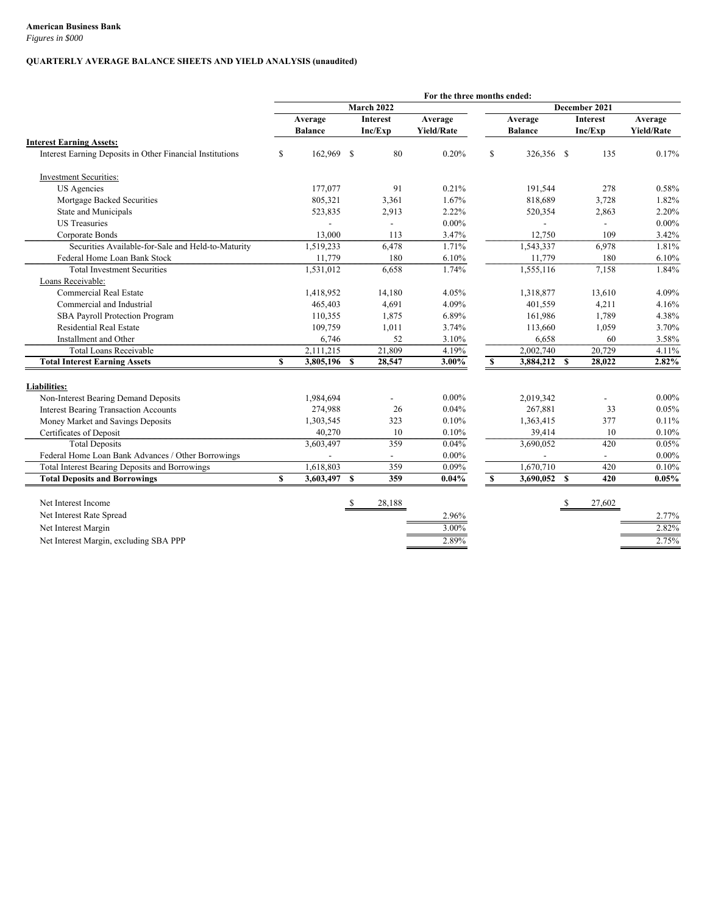*Figures in \$000*

#### **QUARTERLY AVERAGE BALANCE SHEETS AND YIELD ANALYSIS (unaudited)**

|                                                           |              |                |              |                 | For the three months ended: |               |                |               |                |                   |
|-----------------------------------------------------------|--------------|----------------|--------------|-----------------|-----------------------------|---------------|----------------|---------------|----------------|-------------------|
|                                                           |              |                |              | March 2022      |                             |               |                |               | December 2021  |                   |
|                                                           |              | Average        |              | <b>Interest</b> | Average                     | Average       |                | Interest      |                | Average           |
|                                                           |              | <b>Balance</b> |              | Inc/Exp         | <b>Yield/Rate</b>           |               | <b>Balance</b> |               | Inc/Exp        | <b>Yield/Rate</b> |
| <b>Interest Earning Assets:</b>                           |              |                |              |                 |                             |               |                |               |                |                   |
| Interest Earning Deposits in Other Financial Institutions | S            | 162,969        | -S           | 80              | 0.20%                       | $\mathbb{S}$  | 326,356 \$     |               | 135            | 0.17%             |
| <b>Investment Securities:</b>                             |              |                |              |                 |                             |               |                |               |                |                   |
| <b>US</b> Agencies                                        |              | 177,077        |              | 91              | 0.21%                       |               | 191,544        |               | 278            | 0.58%             |
| Mortgage Backed Securities                                |              | 805,321        |              | 3,361           | 1.67%                       |               | 818,689        |               | 3,728          | 1.82%             |
| State and Municipals                                      |              | 523,835        |              | 2,913           | 2.22%                       |               | 520,354        |               | 2,863          | 2.20%             |
| <b>US</b> Treasuries                                      |              |                |              |                 | $0.00\%$                    |               |                |               |                | $0.00\%$          |
| Corporate Bonds                                           |              | 13,000         |              | 113             | 3.47%                       |               | 12,750         |               | 109            | 3.42%             |
| Securities Available-for-Sale and Held-to-Maturity        |              | 1,519,233      |              | 6,478           | 1.71%                       |               | 1,543,337      |               | 6,978          | 1.81%             |
| Federal Home Loan Bank Stock                              |              | 11,779         |              | 180             | 6.10%                       |               | 11,779         |               | 180            | 6.10%             |
| <b>Total Investment Securities</b>                        |              | 1,531,012      |              | 6,658           | 1.74%                       |               | 1,555,116      |               | 7,158          | 1.84%             |
| Loans Receivable:                                         |              |                |              |                 |                             |               |                |               |                |                   |
| <b>Commercial Real Estate</b>                             |              | 1,418,952      |              | 14,180          | 4.05%                       |               | 1,318,877      |               | 13,610         | 4.09%             |
| Commercial and Industrial                                 |              | 465,403        |              | 4,691           | 4.09%                       |               | 401,559        |               | 4,211          | 4.16%             |
| <b>SBA Payroll Protection Program</b>                     |              | 110,355        |              | 1,875           | 6.89%                       |               | 161,986        |               | 1,789          | 4.38%             |
| <b>Residential Real Estate</b>                            |              | 109,759        |              | 1,011           | 3.74%                       |               | 113,660        |               | 1,059          | 3.70%             |
| Installment and Other                                     |              | 6,746          |              | 52              | 3.10%                       |               | 6,658          |               | 60             | 3.58%             |
| <b>Total Loans Receivable</b>                             |              | 2,111,215      |              | 21,809          | 4.19%                       |               | 2,002,740      |               | 20,729         | 4.11%             |
| <b>Total Interest Earning Assets</b>                      | $\mathbf{s}$ | 3,805,196      | $\mathbf{s}$ | 28,547          | 3.00%                       | $\mathbf{s}$  | 3,884,212 \$   |               | 28,022         | 2.82%             |
| <b>Liabilities:</b>                                       |              |                |              |                 |                             |               |                |               |                |                   |
| Non-Interest Bearing Demand Deposits                      |              | 1,984,694      |              |                 | $0.00\%$                    |               | 2,019,342      |               |                | $0.00\%$          |
| <b>Interest Bearing Transaction Accounts</b>              |              | 274,988        |              | 26              | 0.04%                       |               | 267,881        |               | 33             | 0.05%             |
| Money Market and Savings Deposits                         |              | 1,303,545      |              | 323             | 0.10%                       |               | 1,363,415      |               | 377            | 0.11%             |
| Certificates of Deposit                                   |              | 40,270         |              | 10              | 0.10%                       |               | 39,414         |               | 10             | 0.10%             |
| <b>Total Deposits</b>                                     |              | 3,603,497      |              | 359             | 0.04%                       |               | 3,690,052      |               | 420            | 0.05%             |
| Federal Home Loan Bank Advances / Other Borrowings        |              |                |              |                 | $0.00\%$                    |               |                |               | $\blacksquare$ | $0.00\%$          |
| Total Interest Bearing Deposits and Borrowings            |              | 1,618,803      |              | 359             | $0.09\%$                    |               | 1,670,710      |               | 420            | 0.10%             |
| <b>Total Deposits and Borrowings</b>                      | $\mathbf{s}$ | 3,603,497      | $\mathbf{s}$ | 359             | 0.04%                       | <sup>\$</sup> | 3,690,052 \$   |               | 420            | 0.05%             |
| Net Interest Income                                       |              |                | -S           | 28,188          |                             |               |                | <sup>\$</sup> | 27,602         |                   |
|                                                           |              |                |              |                 |                             |               |                |               |                |                   |
| Net Interest Rate Spread                                  |              |                |              |                 | 2.96%                       |               |                |               |                | 2.77%             |
| Net Interest Margin                                       |              |                |              |                 | 3.00%                       |               |                |               |                | 2.82%             |
| Net Interest Margin, excluding SBA PPP                    |              |                |              |                 | 2.89%                       |               |                |               |                | 2.75%             |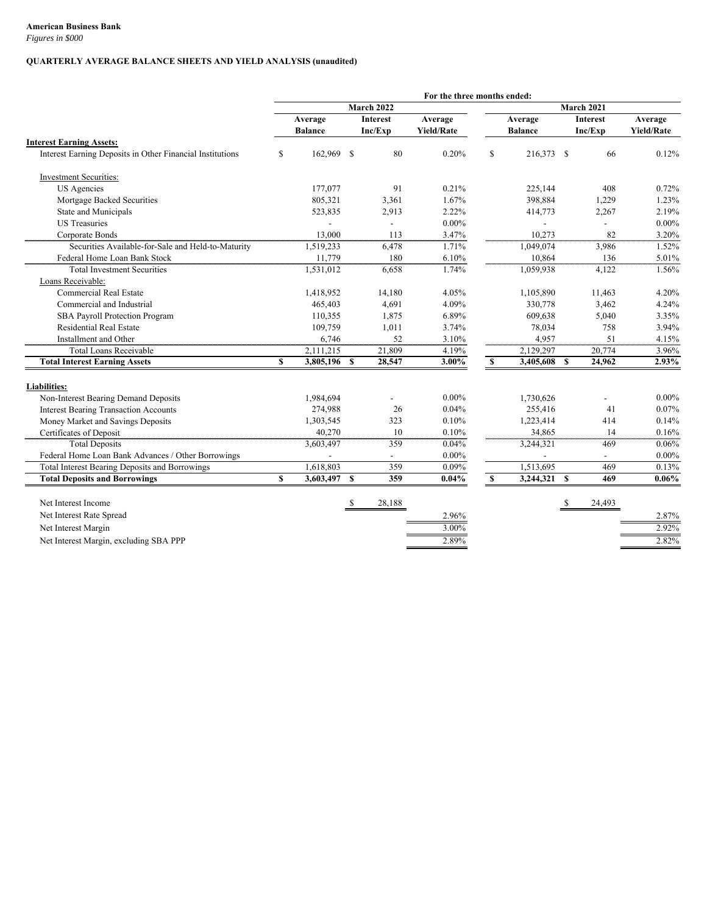*Figures in \$000*

#### **QUARTERLY AVERAGE BALANCE SHEETS AND YIELD ANALYSIS (unaudited)**

|                                                           |              |                |                 |            | For the three months ended: |               |                |               |                   |                   |
|-----------------------------------------------------------|--------------|----------------|-----------------|------------|-----------------------------|---------------|----------------|---------------|-------------------|-------------------|
|                                                           |              |                |                 | March 2022 |                             |               |                |               | <b>March 2021</b> |                   |
|                                                           |              | Average        | <b>Interest</b> |            | Average                     | Average       |                | Interest      |                   | Average           |
|                                                           |              | <b>Balance</b> |                 | Inc/Exp    | <b>Yield/Rate</b>           |               | <b>Balance</b> |               | Inc/Exp           | <b>Yield/Rate</b> |
| <b>Interest Earning Assets:</b>                           |              |                |                 |            |                             |               |                |               |                   |                   |
| Interest Earning Deposits in Other Financial Institutions | S            | 162,969 \$     |                 | 80         | 0.20%                       | $\mathbf S$   | 216,373 \$     |               | 66                | 0.12%             |
| <b>Investment Securities:</b>                             |              |                |                 |            |                             |               |                |               |                   |                   |
| US Agencies                                               |              | 177,077        |                 | 91         | 0.21%                       |               | 225,144        |               | 408               | 0.72%             |
| Mortgage Backed Securities                                |              | 805,321        |                 | 3,361      | 1.67%                       |               | 398,884        |               | 1,229             | 1.23%             |
| State and Municipals                                      |              | 523,835        |                 | 2,913      | 2.22%                       |               | 414,773        |               | 2,267             | 2.19%             |
| <b>US</b> Treasuries                                      |              |                |                 |            | $0.00\%$                    |               |                |               |                   | $0.00\%$          |
| Corporate Bonds                                           |              | 13,000         |                 | 113        | 3.47%                       |               | 10,273         |               | 82                | 3.20%             |
| Securities Available-for-Sale and Held-to-Maturity        |              | 1,519,233      |                 | 6,478      | 1.71%                       |               | 1,049,074      |               | 3,986             | 1.52%             |
| Federal Home Loan Bank Stock                              |              | 11,779         |                 | 180        | 6.10%                       |               | 10,864         |               | 136               | 5.01%             |
| <b>Total Investment Securities</b>                        |              | 1,531,012      |                 | 6,658      | 1.74%                       |               | 1,059,938      |               | 4,122             | 1.56%             |
| Loans Receivable:                                         |              |                |                 |            |                             |               |                |               |                   |                   |
| Commercial Real Estate                                    |              | 1,418,952      |                 | 14,180     | 4.05%                       |               | 1,105,890      |               | 11,463            | 4.20%             |
| Commercial and Industrial                                 |              | 465,403        |                 | 4,691      | 4.09%                       |               | 330,778        |               | 3,462             | 4.24%             |
| SBA Payroll Protection Program                            |              | 110,355        |                 | 1,875      | 6.89%                       |               | 609,638        |               | 5,040             | 3.35%             |
| <b>Residential Real Estate</b>                            |              | 109,759        |                 | 1,011      | 3.74%                       |               | 78,034         |               | 758               | 3.94%             |
| Installment and Other                                     |              | 6,746          |                 | 52         | 3.10%                       |               | 4,957          |               | 51                | 4.15%             |
| <b>Total Loans Receivable</b>                             |              | 2,111,215      |                 | 21,809     | 4.19%                       |               | 2,129,297      |               | 20,774            | 3.96%             |
| <b>Total Interest Earning Assets</b>                      | $\mathbf{s}$ | 3,805,196      | $\mathbf{s}$    | 28,547     | 3.00%                       | $\mathbf{s}$  | 3,405,608 \$   |               | 24,962            | 2.93%             |
| <b>Liabilities:</b>                                       |              |                |                 |            |                             |               |                |               |                   |                   |
| Non-Interest Bearing Demand Deposits                      |              | 1,984,694      |                 |            | $0.00\%$                    |               | 1,730,626      |               |                   | $0.00\%$          |
| <b>Interest Bearing Transaction Accounts</b>              |              | 274,988        |                 | 26         | 0.04%                       |               | 255,416        |               | 41                | 0.07%             |
| Money Market and Savings Deposits                         |              | 1,303,545      |                 | 323        | 0.10%                       |               | 1,223,414      |               | 414               | 0.14%             |
| Certificates of Deposit                                   |              | 40,270         |                 | 10         | 0.10%                       |               | 34,865         |               | 14                | 0.16%             |
| <b>Total Deposits</b>                                     |              | 3,603,497      |                 | 359        | 0.04%                       |               | 3,244,321      |               | 469               | 0.06%             |
| Federal Home Loan Bank Advances / Other Borrowings        |              |                |                 |            | $0.00\%$                    |               |                |               | $\blacksquare$    | $0.00\%$          |
| <b>Total Interest Bearing Deposits and Borrowings</b>     |              | 1,618,803      |                 | 359        | $0.09\%$                    |               | 1,513,695      |               | 469               | 0.13%             |
| <b>Total Deposits and Borrowings</b>                      | $\mathbf{s}$ | 3,603,497      | $\mathbf{s}$    | 359        | 0.04%                       | <sup>\$</sup> | 3,244,321 \$   |               | 469               | $0.06\%$          |
| Net Interest Income                                       |              |                | -S              | 28,188     |                             |               |                | <sup>\$</sup> | 24,493            |                   |
| Net Interest Rate Spread                                  |              |                |                 |            | 2.96%                       |               |                |               |                   | 2.87%             |
|                                                           |              |                |                 |            | 3.00%                       |               |                |               |                   |                   |
| Net Interest Margin                                       |              |                |                 |            |                             |               |                |               |                   | 2.92%             |
| Net Interest Margin, excluding SBA PPP                    |              |                |                 |            | 2.89%                       |               |                |               |                   | 2.82%             |